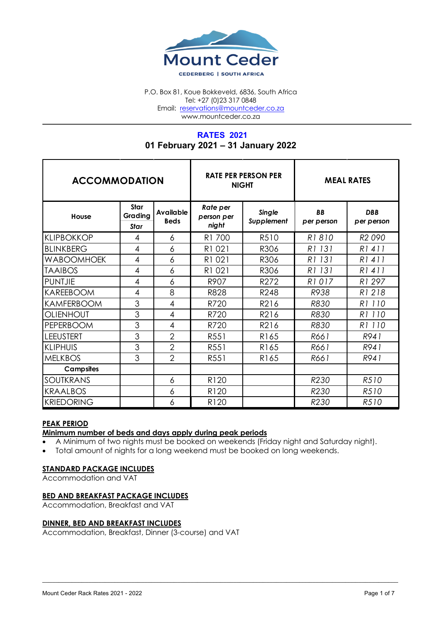

P.O. Box 81, Koue Bokkeveld, 6836, South Africa Tel: +27 (0)23 317 0848 Email: reservations@mountceder.co.za www.mountceder.co.za

# **RATES 2021 01 February 2021 – 31 January 2022**

| <b>ACCOMMODATION</b> |                         |                          | <b>NIGHT</b>                    | <b>RATE PER PERSON PER</b>  | <b>MEAL RATES</b>       |                          |  |
|----------------------|-------------------------|--------------------------|---------------------------------|-----------------------------|-------------------------|--------------------------|--|
| House                | Star<br>Grading<br>Star | Available<br><b>Beds</b> | Rate per<br>person per<br>night | <b>Single</b><br>Supplement | <b>BB</b><br>per person | <b>DBB</b><br>per person |  |
| <b>KLIPBOKKOP</b>    | 4                       | 6                        | R1 700                          | R510                        | R1810                   | R <sub>2</sub> 090       |  |
| <b>BLINKBERG</b>     | 4                       | 6                        | R1 021                          | R306                        | R1 131                  | R1411                    |  |
| <b>WABOOMHOEK</b>    | 4                       | 6                        | R1 021                          | R306                        | R1 131                  | R1411                    |  |
| <b>TAAIBOS</b>       | 4                       | 6                        | R1 021                          | R306                        | R1 131                  | R1411                    |  |
| <b>PUNTJIE</b>       | 4                       | 6                        | R907                            | R272                        | R1017                   | R1 297                   |  |
| <b>KAREEBOOM</b>     | 4                       | 8                        | R828                            | R248                        | R938                    | R1218                    |  |
| <b>KAMFERBOOM</b>    | 3                       | 4                        | R720                            | R216                        | <b>R830</b>             | R1 110                   |  |
| <b>OLIENHOUT</b>     | 3                       | 4                        | R720                            | R216                        | R830                    | R1 110                   |  |
| PEPERBOOM            | 3                       | 4                        | R720                            | R216                        | R830                    | R1 110                   |  |
| <b>LEEUSTERT</b>     | 3                       | $\overline{2}$           | R551                            | R165                        | R661                    | R941                     |  |
| <b>KLIPHUIS</b>      | 3                       | $\overline{2}$           | R551                            | R165                        | R661                    | R941                     |  |
| <b>MELKBOS</b>       | 3                       | $\overline{2}$           | R551                            | R165                        | R661                    | R941                     |  |
| <b>Campsites</b>     |                         |                          |                                 |                             |                         |                          |  |
| SOUTKRANS            |                         | 6                        | R120                            |                             | R230                    | R510                     |  |
| <b>KRAALBOS</b>      |                         | 6                        | R120                            |                             | R230                    | R510                     |  |
| <b>KRIEDORING</b>    |                         | 6                        | R120                            |                             | R <sub>230</sub>        | R510                     |  |

### **PEAK PERIOD**

# **Minimum number of beds and days apply during peak periods**

A Minimum of two nights must be booked on weekends (Friday night and Saturday night).

 $\mathcal{L}_\mathcal{L} = \mathcal{L}_\mathcal{L} = \mathcal{L}_\mathcal{L} = \mathcal{L}_\mathcal{L} = \mathcal{L}_\mathcal{L} = \mathcal{L}_\mathcal{L} = \mathcal{L}_\mathcal{L} = \mathcal{L}_\mathcal{L} = \mathcal{L}_\mathcal{L} = \mathcal{L}_\mathcal{L} = \mathcal{L}_\mathcal{L} = \mathcal{L}_\mathcal{L} = \mathcal{L}_\mathcal{L} = \mathcal{L}_\mathcal{L} = \mathcal{L}_\mathcal{L} = \mathcal{L}_\mathcal{L} = \mathcal{L}_\mathcal{L}$ 

• Total amount of nights for a long weekend must be booked on long weekends.

### **STANDARD PACKAGE INCLUDES**

Accommodation and VAT

### **BED AND BREAKFAST PACKAGE INCLUDES**

Accommodation, Breakfast and VAT

### **DINNER, BED AND BREAKFAST INCLUDES**

Accommodation, Breakfast, Dinner (3-course) and VAT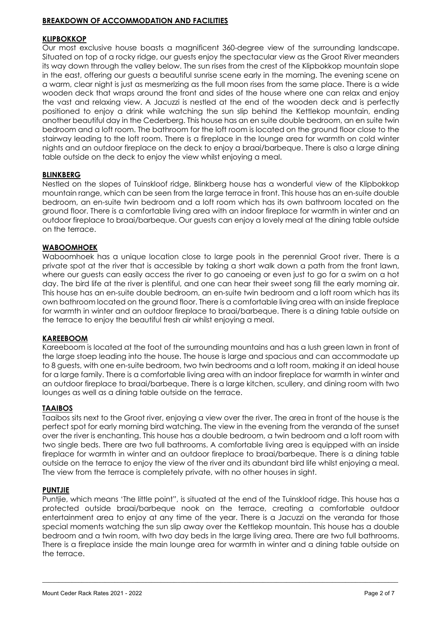### **BREAKDOWN OF ACCOMMODATION AND FACILITIES**

### **KLIPBOKKOP**

Our most exclusive house boasts a magnificent 360-degree view of the surrounding landscape. Situated on top of a rocky ridge, our guests enjoy the spectacular view as the Groot River meanders its way down through the valley below. The sun rises from the crest of the Klipbokkop mountain slope in the east, offering our guests a beautiful sunrise scene early in the morning. The evening scene on a warm, clear night is just as mesmerizing as the full moon rises from the same place. There is a wide wooden deck that wraps around the front and sides of the house where one can relax and enjoy the vast and relaxing view. A Jacuzzi is nestled at the end of the wooden deck and is perfectly positioned to enjoy a drink while watching the sun slip behind the Kettlekop mountain, ending another beautiful day in the Cederberg. This house has an en suite double bedroom, an en suite twin bedroom and a loft room. The bathroom for the loft room is located on the ground floor close to the stairway leading to the loft room. There is a fireplace in the lounge area for warmth on cold winter nights and an outdoor fireplace on the deck to enjoy a braai/barbeque. There is also a large dining table outside on the deck to enjoy the view whilst enjoying a meal.

### **BLINKBERG**

Nestled on the slopes of Tuinskloof ridge, Blinkberg house has a wonderful view of the Klipbokkop mountain range, which can be seen from the large terrace in front. This house has an en-suite double bedroom, an en-suite twin bedroom and a loft room which has its own bathroom located on the ground floor. There is a comfortable living area with an indoor fireplace for warmth in winter and an outdoor fireplace to braai/barbeque. Our guests can enjoy a lovely meal at the dining table outside on the terrace.

### **WABOOMHOEK**

Waboomhoek has a unique location close to large pools in the perennial Groot river. There is a private spot at the river that is accessible by taking a short walk down a path from the front lawn, where our guests can easily access the river to go canoeing or even just to go for a swim on a hot day. The bird life at the river is plentiful, and one can hear their sweet song fill the early morning air. This house has an en-suite double bedroom, an en-suite twin bedroom and a loft room which has its own bathroom located on the ground floor. There is a comfortable living area with an inside fireplace for warmth in winter and an outdoor fireplace to braai/barbeque. There is a dining table outside on the terrace to enjoy the beautiful fresh air whilst enjoying a meal.

### **KAREEBOOM**

Kareeboom is located at the foot of the surrounding mountains and has a lush green lawn in front of the large stoep leading into the house. The house is large and spacious and can accommodate up to 8 guests, with one en-suite bedroom, two twin bedrooms and a loft room, making it an ideal house for a large family. There is a comfortable living area with an indoor fireplace for warmth in winter and an outdoor fireplace to braai/barbeque. There is a large kitchen, scullery, and dining room with two lounges as well as a dining table outside on the terrace.

### **TAAIBOS**

Taaibos sits next to the Groot river, enjoying a view over the river. The area in front of the house is the perfect spot for early morning bird watching. The view in the evening from the veranda of the sunset over the river is enchanting. This house has a double bedroom, a twin bedroom and a loft room with two single beds. There are two full bathrooms. A comfortable living area is equipped with an inside fireplace for warmth in winter and an outdoor fireplace to braai/barbeque. There is a dining table outside on the terrace to enjoy the view of the river and its abundant bird life whilst enjoying a meal. The view from the terrace is completely private, with no other houses in sight.

### **PUNTJIE**

Puntjie, which means 'The little point", is situated at the end of the Tuinskloof ridge. This house has a protected outside braai/barbeque nook on the terrace, creating a comfortable outdoor entertainment area to enjoy at any time of the year. There is a Jacuzzi on the veranda for those special moments watching the sun slip away over the Kettlekop mountain. This house has a double bedroom and a twin room, with two day beds in the large living area. There are two full bathrooms. There is a fireplace inside the main lounge area for warmth in winter and a dining table outside on the terrace.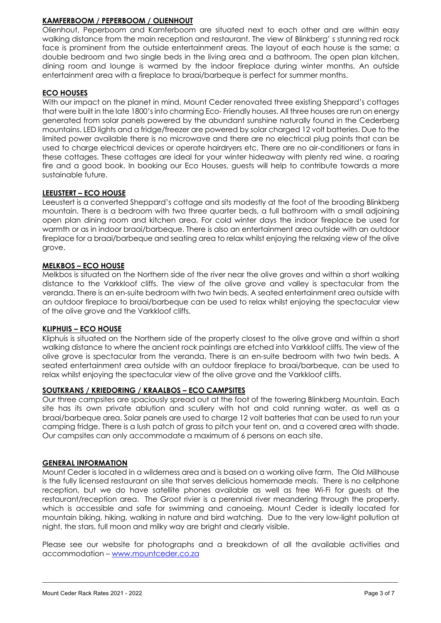### **KAMFERBOOM / PEPERBOOM / OLIENHOUT**

Olienhout, Peperboom and Kamferboom are situated next to each other and are within easy walking distance from the main reception and restaurant. The view of Blinkberg' s stunning red rock face is prominent from the outside entertainment areas. The layout of each house is the same; a double bedroom and two single beds in the living area and a bathroom. The open plan kitchen, dining room and lounge is warmed by the indoor fireplace during winter months. An outside entertainment area with a fireplace to braai/barbeque is perfect for summer months.

### **ECO HOUSES**

With our impact on the planet in mind, Mount Ceder renovated three existing Sheppard's cottages that were built in the late 1800's into charming Eco- Friendly houses. All three houses are run on energy generated from solar panels powered by the abundant sunshine naturally found in the Cederberg mountains. LED lights and a fridge/freezer are powered by solar charged 12 volt batteries. Due to the limited power available there is no microwave and there are no electrical plug points that can be used to charge electrical devices or operate hairdryers etc. There are no air-conditioners or fans in these cottages. These cottages are ideal for your winter hideaway with plenty red wine, a roaring fire and a good book. In booking our Eco Houses, guests will help to contribute towards a more sustainable future.

### **LEEUSTERT – ECO HOUSE**

Leeustert is a converted Sheppard's cottage and sits modestly at the foot of the brooding Blinkberg mountain. There is a bedroom with two three quarter beds, a full bathroom with a small adjoining open plan dining room and kitchen area. For cold winter days the indoor fireplace be used for warmth or as in indoor braai/barbeque. There is also an entertainment area outside with an outdoor fireplace for a braai/barbeque and seating area to relax whilst enjoying the relaxing view of the olive grove.

### **MELKBOS – ECO HOUSE**

Melkbos is situated on the Northern side of the river near the olive groves and within a short walking distance to the Varkkloof cliffs. The view of the olive grove and valley is spectacular from the veranda. There is an en-suite bedroom with two twin beds. A seated entertainment area outside with an outdoor fireplace to braai/barbeque can be used to relax whilst enjoying the spectacular view of the olive grove and the Varkkloof cliffs.

### **KLIPHUIS – ECO HOUSE**

Kliphuis is situated on the Northern side of the property closest to the olive grove and within a short walking distance to where the ancient rock paintings are etched into Varkkloof cliffs. The view of the olive grove is spectacular from the veranda. There is an en-suite bedroom with two twin beds. A seated entertainment area outside with an outdoor fireplace to braai/barbeque, can be used to relax whilst enjoying the spectacular view of the olive grove and the Varkkloof cliffs.

### **SOUTKRANS / KRIEDORING / KRAALBOS – ECO CAMPSITES**

Our three campsites are spaciously spread out at the foot of the towering Blinkberg Mountain. Each site has its own private ablution and scullery with hot and cold running water, as well as a braai/barbeque area. Solar panels are used to charge 12 volt batteries that can be used to run your camping fridge. There is a lush patch of grass to pitch your tent on, and a covered area with shade. Our campsites can only accommodate a maximum of 6 persons on each site.

### **GENERAL INFORMATION**

Mount Ceder is located in a wilderness area and is based on a working olive farm. The Old Millhouse is the fully licensed restaurant on site that serves delicious homemade meals. There is no cellphone reception, but we do have satellite phones available as well as free Wi-Fi for guests at the restaurant/reception area. The Groot rivier is a perennial river meandering through the property, which is accessible and safe for swimming and canoeing. Mount Ceder is ideally located for mountain biking, hiking, walking in nature and bird watching. Due to the very low-light pollution at night, the stars, full moon and milky way are bright and clearly visible.

Please see our website for photographs and a breakdown of all the available activities and accommodation – www.mountceder.co.za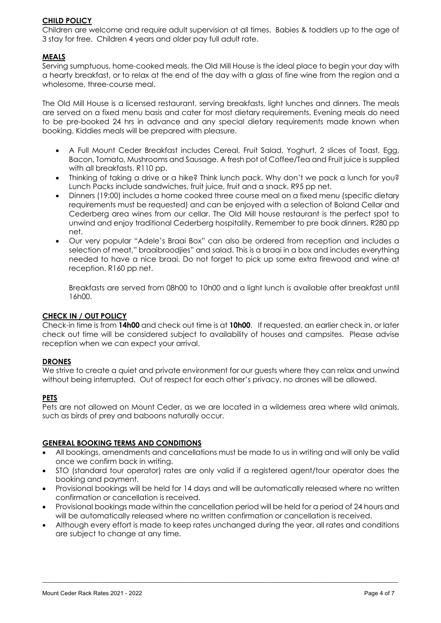### **CHILD POLICY**

Children are welcome and require adult supervision at all times. Babies & toddlers up to the age of 3 stay for free. Children 4 years and older pay full adult rate.

### **MEALS**

Serving sumptuous, home-cooked meals, the Old Mill House is the ideal place to begin your day with a hearty breakfast, or to relax at the end of the day with a glass of fine wine from the region and a wholesome, three-course meal.

The Old Mill House is a licensed restaurant, serving breakfasts, light lunches and dinners. The meals are served on a fixed menu basis and cater for most dietary requirements. Evening meals do need to be pre-booked 24 hrs in advance and any special dietary requirements made known when booking. Kiddies meals will be prepared with pleasure.

- A Full Mount Ceder Breakfast includes Cereal, Fruit Salad, Yoghurt, 2 slices of Toast, Egg, Bacon, Tomato, Mushrooms and Sausage. A fresh pot of Coffee/Tea and Fruit juice is supplied with all breakfasts. R110 pp.
- Thinking of taking a drive or a hike? Think lunch pack. Why don't we pack a lunch for you? Lunch Packs include sandwiches, fruit juice, fruit and a snack. R95 pp net.
- Dinners (19:00) includes a home cooked three course meal on a fixed menu (specific dietary requirements must be requested) and can be enjoyed with a selection of Boland Cellar and Cederberg area wines from our cellar. The Old Mill house restaurant is the perfect spot to unwind and enjoy traditional Cederberg hospitality. Remember to pre book dinners. R280 pp net.
- Our very popular "Adele's Braai Box" can also be ordered from reception and includes a selection of meat," braaibroodjies" and salad. This is a braai in a box and includes everything needed to have a nice braai. Do not forget to pick up some extra firewood and wine at reception. R160 pp net.

Breakfasts are served from 08h00 to 10h00 and a light lunch is available after breakfast until 16h00.

### **CHECK IN / OUT POLICY**

Check-in time is from **14h00** and check out time is at **10h00**. If requested, an earlier check in, or later check out time will be considered subject to availability of houses and campsites. Please advise reception when we can expect your arrival.

### **DRONES**

We strive to create a quiet and private environment for our guests where they can relax and unwind without being interrupted. Out of respect for each other's privacy, no drones will be allowed.

### **PETS**

Pets are not allowed on Mount Ceder, as we are located in a wilderness area where wild animals, such as birds of prey and baboons naturally occur.

### **GENERAL BOOKING TERMS AND CONDITIONS**

- All bookings, amendments and cancellations must be made to us in writing and will only be valid once we confirm back in writing.
- STO (standard tour operator) rates are only valid if a registered agent/tour operator does the booking and payment.
- Provisional bookings will be held for 14 days and will be automatically released where no written confirmation or cancellation is received.
- Provisional bookings made within the cancellation period will be held for a period of 24 hours and will be automatically released where no written confirmation or cancellation is received.
- Although every effort is made to keep rates unchanged during the year, all rates and conditions are subject to change at any time.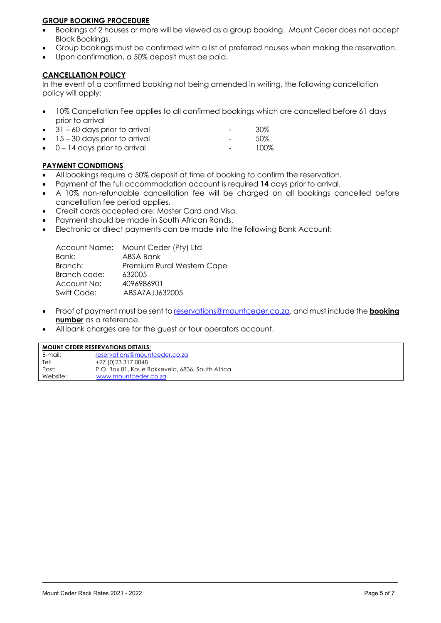### **GROUP BOOKING PROCEDURE**

- Bookings of 2 houses or more will be viewed as a group booking. Mount Ceder does not accept Block Bookings.
- Group bookings must be confirmed with a list of preferred houses when making the reservation.
- Upon confirmation, a 50% deposit must be paid.

# **CANCELLATION POLICY**

In the event of a confirmed booking not being amended in writing, the following cancellation policy will apply:

- 10% Cancellation Fee applies to all confirmed bookings which are cancelled before 61 days prior to arrival
- 31 60 days prior to arrival 30% eration 15 – 30 days prior to arrival the set of the set of  $50\%$
- 0 14 days prior to arrival **Fig. 100%**

### **PAYMENT CONDITIONS**

- All bookings require a 50% deposit at time of booking to confirm the reservation.
- Payment of the full accommodation account is required **14** days prior to arrival.
- A 10% non-refundable cancellation fee will be charged on all bookings cancelled before cancellation fee period applies.
- Credit cards accepted are: Master Card and Visa.
- Payment should be made in South African Rands.
- Electronic or direct payments can be made into the following Bank Account:

|              | Account Name: Mount Ceder (Pty) Ltd |
|--------------|-------------------------------------|
| Bank:        | ABSA Bank                           |
| Branch:      | Premium Rural Western Cape          |
| Branch code: | 632005                              |
| Account No:  | 4096986901                          |
| Swift Code:  | ABSAZAJJ632005                      |
|              |                                     |

• Proof of payment must be sent to reservations@mountceder.co.za, and must include the **booking number** as a reference.

 $\mathcal{L}_\mathcal{L} = \mathcal{L}_\mathcal{L} = \mathcal{L}_\mathcal{L} = \mathcal{L}_\mathcal{L} = \mathcal{L}_\mathcal{L} = \mathcal{L}_\mathcal{L} = \mathcal{L}_\mathcal{L} = \mathcal{L}_\mathcal{L} = \mathcal{L}_\mathcal{L} = \mathcal{L}_\mathcal{L} = \mathcal{L}_\mathcal{L} = \mathcal{L}_\mathcal{L} = \mathcal{L}_\mathcal{L} = \mathcal{L}_\mathcal{L} = \mathcal{L}_\mathcal{L} = \mathcal{L}_\mathcal{L} = \mathcal{L}_\mathcal{L}$ 

All bank charges are for the guest or tour operators account.

| <b>MOUNT CEDER RESERVATIONS DETAILS:</b> |                                                  |  |  |  |  |
|------------------------------------------|--------------------------------------------------|--|--|--|--|
| E-mail:                                  | reservations@mountceder.co.za                    |  |  |  |  |
| Tel:                                     | +27 (0) 23 317 0848                              |  |  |  |  |
| Post:                                    | P.O. Box 81, Koue Bokkeveld, 6836, South Africa. |  |  |  |  |
| Website:                                 | www.mountceder.co.za                             |  |  |  |  |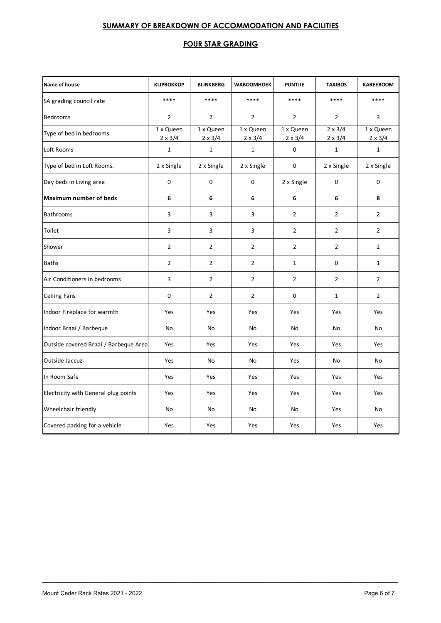# **SUMMARY OF BREAKDOWN OF ACCOMMODATION AND FACILITIES**

### **FOUR STAR GRADING**

| Name of house                         | <b>KLIPBOKKOP</b>           | <b>BLINKBERG</b>            | <b>WABOOMHOEK</b>           | <b>PUNTJIE</b>              | <b>TAAIBOS</b>                   | <b>KAREEBOOM</b>            |
|---------------------------------------|-----------------------------|-----------------------------|-----------------------------|-----------------------------|----------------------------------|-----------------------------|
| SA grading council rate               | ****                        | ****                        | ****                        | ****                        | ****                             | ****                        |
| Bedrooms                              | $\overline{2}$              | $\overline{2}$              | $\overline{2}$              | $\overline{2}$              | $\overline{2}$                   | 3                           |
| Type of bed in bedrooms               | 1 x Queen<br>$2 \times 3/4$ | 1 x Queen<br>$2 \times 3/4$ | 1 x Queen<br>$2 \times 3/4$ | 1 x Queen<br>$2 \times 3/4$ | $2 \times 3/4$<br>$2 \times 3/4$ | 1 x Queen<br>$2 \times 3/4$ |
| Loft Rooms                            | $\mathbf{1}$                | $\mathbf 1$                 | $\mathbf{1}$                | $\pmb{0}$                   | $\mathbf{1}$                     | $\mathbf{1}$                |
| Type of bed in Loft Rooms.            | 2 x Single                  | 2 x Single                  | 2 x Single                  | 0                           | 2 x Single                       | 2 x Single                  |
| Day beds in Living area               | 0                           | $\mathbf 0$                 | $\mathbf 0$                 | 2 x Single                  | 0                                | 0                           |
| <b>Maximum number of beds</b>         | 6                           | 6                           | 6                           | 6                           | 6                                | 8                           |
| <b>Bathrooms</b>                      | 3                           | 3                           | 3                           | $\overline{2}$              | $\overline{2}$                   | $\overline{2}$              |
| Toilet                                | 3                           | 3                           | 3                           | $\overline{2}$              | $\overline{2}$                   | $\overline{2}$              |
| Shower                                | $\overline{2}$              | $\overline{2}$              | $\overline{2}$              | $\overline{2}$              | $\overline{2}$                   | $\overline{2}$              |
| <b>Baths</b>                          | $\overline{2}$              | $\overline{2}$              | $\overline{2}$              | $\mathbf{1}$                | 0                                | $\mathbf{1}$                |
| Air Conditioners in bedrooms          | 3                           | $\overline{2}$              | $\overline{2}$              | $\overline{2}$              | $\overline{2}$                   | $\overline{2}$              |
| <b>Ceiling Fans</b>                   | 0                           | $\overline{2}$              | $\overline{2}$              | 0                           | $\mathbf{1}$                     | $\overline{2}$              |
| Indoor Fireplace for warmth           | Yes                         | Yes                         | Yes                         | Yes                         | Yes                              | Yes                         |
| Indoor Braai / Barbeque               | No                          | No                          | No                          | No                          | No                               | No                          |
| Outside covered Braai / Barbeque Area | Yes                         | Yes                         | Yes                         | Yes                         | Yes                              | Yes                         |
| Outside Jaccuzi                       | Yes                         | No                          | No                          | Yes                         | No                               | No                          |
| In Room Safe                          | Yes                         | Yes                         | Yes                         | Yes                         | Yes                              | Yes                         |
| Electricity with General plug points  | Yes                         | Yes                         | Yes                         | Yes                         | Yes                              | Yes                         |
| Wheelchair friendly                   | No                          | No                          | No                          | No                          | Yes                              | No                          |
| Covered parking for a vehicle         | Yes                         | Yes                         | Yes                         | Yes                         | Yes                              | Yes                         |